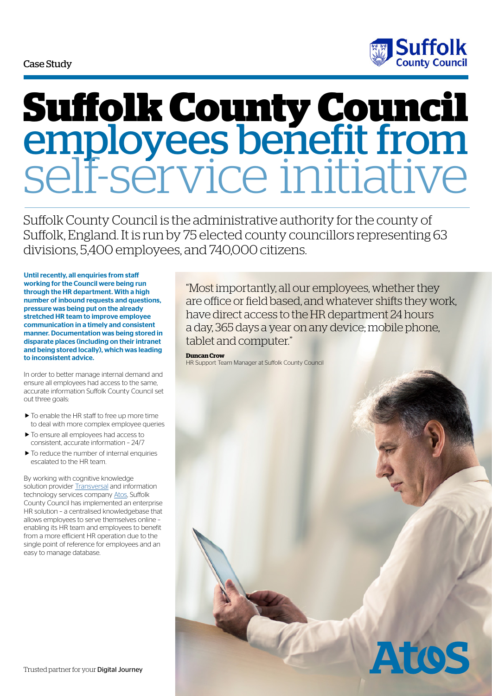#### Case Study



# **Suffolk County Council** employees benefit from self-service initiative

Suffolk County Council is the administrative authority for the county of Suffolk, England. It is run by 75 elected county councillors representing 63 divisions, 5,400 employees, and 740,000 citizens.

Until recently, all enquiries from staff working for the Council were being run through the HR department. With a high number of inbound requests and questions, pressure was being put on the already stretched HR team to improve employee communication in a timely and consistent manner. Documentation was being stored in disparate places (including on their intranet and being stored locally), which was leading to inconsistent advice.

In order to better manage internal demand and ensure all employees had access to the same, accurate information Suffolk County Council set out three goals:

- $\blacktriangleright$  To enable the HR staff to free up more time to deal with more complex employee queries
- $\blacktriangleright$  To ensure all employees had access to consistent, accurate information – 24/7
- $\blacktriangleright$  To reduce the number of internal enquiries escalated to the HR team.

By working with cognitive knowledge solution provider **Transversal** and information technology services company [Atos,](http://uk.atos.net/en-uk/home.html) Suffolk County Council has implemented an enterprise HR solution – a centralised knowledgebase that allows employees to serve themselves online – enabling its HR team and employees to benefit from a more efficient HR operation due to the single point of reference for employees and an easy to manage database.

"Most importantly, all our employees, whether they are office or field based, and whatever shifts they work, have direct access to the HR department 24 hours a day, 365 days a year on any device; mobile phone, tablet and computer."

**Duncan Crow**

HR Support Team Manager at Suffolk County Council